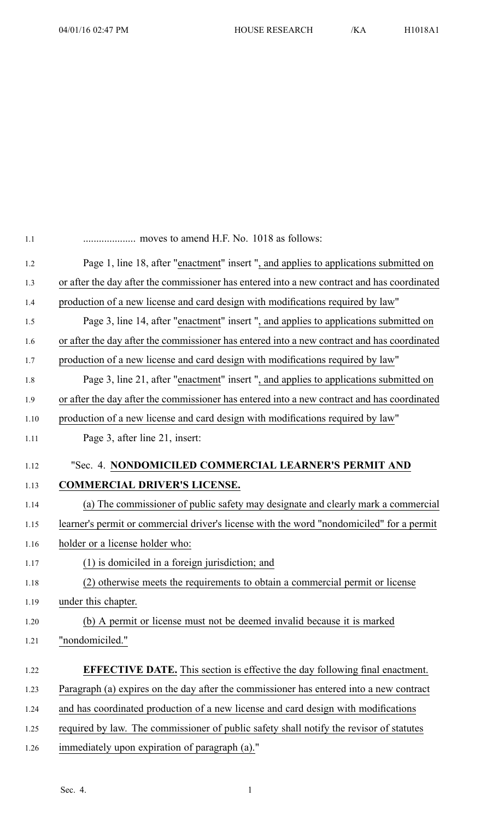| 1.1  |                                                                                             |
|------|---------------------------------------------------------------------------------------------|
| 1.2  | Page 1, line 18, after "enactment" insert ", and applies to applications submitted on       |
| 1.3  | or after the day after the commissioner has entered into a new contract and has coordinated |
| 1.4  | production of a new license and card design with modifications required by law"             |
| 1.5  | Page 3, line 14, after "enactment" insert ", and applies to applications submitted on       |
| 1.6  | or after the day after the commissioner has entered into a new contract and has coordinated |
| 1.7  | production of a new license and card design with modifications required by law"             |
| 1.8  | Page 3, line 21, after "enactment" insert ", and applies to applications submitted on       |
| 1.9  | or after the day after the commissioner has entered into a new contract and has coordinated |
| 1.10 | production of a new license and card design with modifications required by law"             |
| 1.11 | Page 3, after line 21, insert:                                                              |
| 1.12 | "Sec. 4. NONDOMICILED COMMERCIAL LEARNER'S PERMIT AND                                       |
| 1.13 | <b>COMMERCIAL DRIVER'S LICENSE.</b>                                                         |
| 1.14 | (a) The commissioner of public safety may designate and clearly mark a commercial           |
| 1.15 | learner's permit or commercial driver's license with the word "nondomiciled" for a permit   |
| 1.16 | holder or a license holder who:                                                             |
| 1.17 | (1) is domiciled in a foreign jurisdiction; and                                             |
| 1.18 | (2) otherwise meets the requirements to obtain a commercial permit or license               |
| 1.19 | under this chapter.                                                                         |
| 1.20 | (b) A permit or license must not be deemed invalid because it is marked                     |
| 1.21 | "nondomiciled."                                                                             |
|      |                                                                                             |
| 1.22 | <b>EFFECTIVE DATE.</b> This section is effective the day following final enactment.         |
| 1.23 | Paragraph (a) expires on the day after the commissioner has entered into a new contract     |
| 1.24 | and has coordinated production of a new license and card design with modifications          |
| 1.25 | required by law. The commissioner of public safety shall notify the revisor of statutes     |
| 1.26 | immediately upon expiration of paragraph (a)."                                              |
|      |                                                                                             |